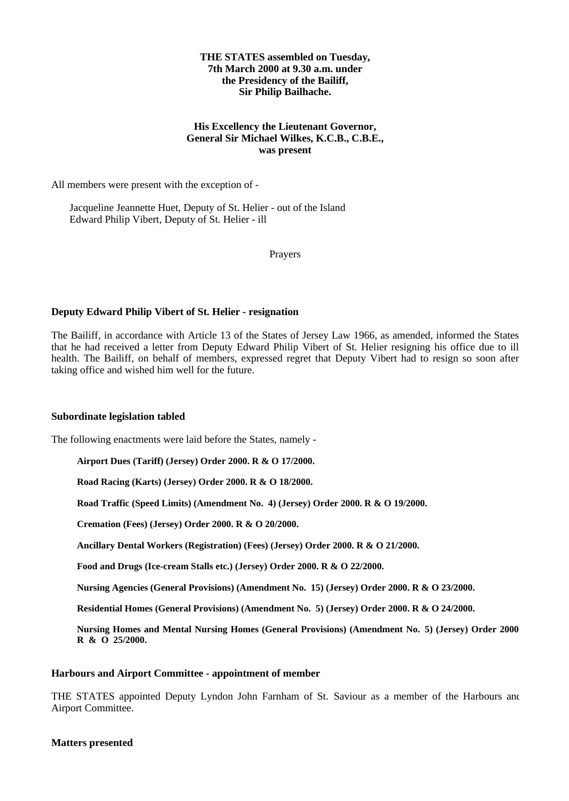# **THE STATES assembled on Tuesday, 7th March 2000 at 9.30 a.m. under the Presidency of the Bailiff, Sir Philip Bailhache.**

# **His Excellency the Lieutenant Governor, General Sir Michael Wilkes, K.C.B., C.B.E., was present**

All members were present with the exception of -

 Jacqueline Jeannette Huet, Deputy of St. Helier - out of the Island Edward Philip Vibert, Deputy of St. Helier - ill

Prayers

# **Deputy Edward Philip Vibert of St. Helier - resignation**

The Bailiff, in accordance with Article 13 of the States of Jersey Law 1966, as amended, informed the States that he had received a letter from Deputy Edward Philip Vibert of St. Helier resigning his office due to ill health. The Bailiff, on behalf of members, expressed regret that Deputy Vibert had to resign so soon after taking office and wished him well for the future.

# **Subordinate legislation tabled**

The following enactments were laid before the States, namely -

**Airport Dues (Tariff) (Jersey) Order 2000. R & O 17/2000.**

**Road Racing (Karts) (Jersey) Order 2000. R & O 18/2000.**

**Road Traffic (Speed Limits) (Amendment No. 4) (Jersey) Order 2000. R & O 19/2000.**

**Cremation (Fees) (Jersey) Order 2000. R & O 20/2000.**

**Ancillary Dental Workers (Registration) (Fees) (Jersey) Order 2000. R & O 21/2000.**

**Food and Drugs (Ice-cream Stalls etc.) (Jersey) Order 2000. R & O 22/2000.**

**Nursing Agencies (General Provisions) (Amendment No. 15) (Jersey) Order 2000. R & O 23/2000.**

**Residential Homes (General Provisions) (Amendment No. 5) (Jersey) Order 2000. R & O 24/2000.**

**Nursing Homes and Mental Nursing Homes (General Provisions) (Amendment No. 5) (Jersey) Order 2000. R & O 25/2000.**

#### **Harbours and Airport Committee - appointment of member**

THE STATES appointed Deputy Lyndon John Farnham of St. Saviour as a member of the Harbours and Airport Committee.

# **Matters presented**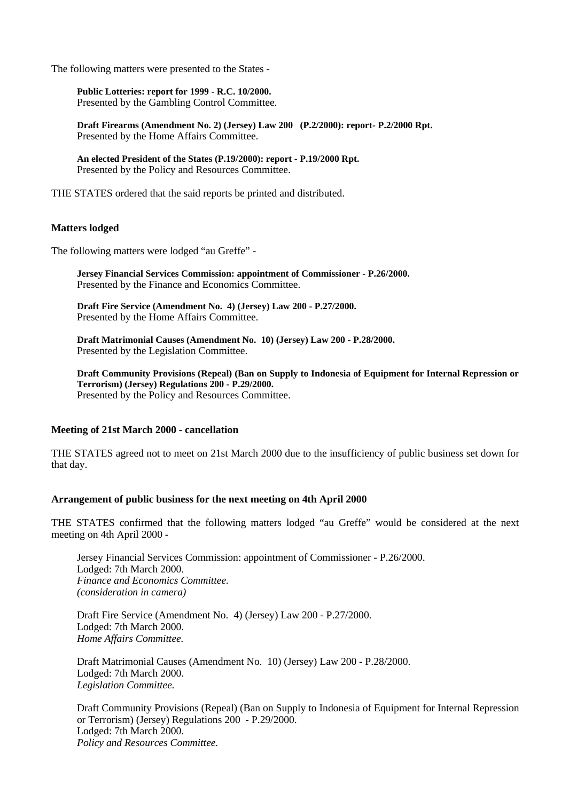The following matters were presented to the States -

**Public Lotteries: report for 1999 - R.C. 10/2000.** Presented by the Gambling Control Committee.

**Draft Firearms (Amendment No. 2) (Jersey) Law 200 (P.2/2000): report- P.2/2000 Rpt.** Presented by the Home Affairs Committee.

**An elected President of the States (P.19/2000): report - P.19/2000 Rpt.** Presented by the Policy and Resources Committee.

THE STATES ordered that the said reports be printed and distributed.

## **Matters lodged**

The following matters were lodged "au Greffe" -

**Jersey Financial Services Commission: appointment of Commissioner - P.26/2000.** Presented by the Finance and Economics Committee.

**Draft Fire Service (Amendment No. 4) (Jersey) Law 200 - P.27/2000.** Presented by the Home Affairs Committee.

**Draft Matrimonial Causes (Amendment No. 10) (Jersey) Law 200 - P.28/2000.** Presented by the Legislation Committee.

**Draft Community Provisions (Repeal) (Ban on Supply to Indonesia of Equipment for Internal Repression or Terrorism) (Jersey) Regulations 200 - P.29/2000.** Presented by the Policy and Resources Committee.

#### **Meeting of 21st March 2000 - cancellation**

THE STATES agreed not to meet on 21st March 2000 due to the insufficiency of public business set down for that day.

#### **Arrangement of public business for the next meeting on 4th April 2000**

THE STATES confirmed that the following matters lodged "au Greffe" would be considered at the next meeting on 4th April 2000 -

Jersey Financial Services Commission: appointment of Commissioner - P.26/2000. Lodged: 7th March 2000. *Finance and Economics Committee. (consideration in camera)*

Draft Fire Service (Amendment No. 4) (Jersey) Law 200 - P.27/2000. Lodged: 7th March 2000. *Home Affairs Committee.*

Draft Matrimonial Causes (Amendment No. 10) (Jersey) Law 200 - P.28/2000. Lodged: 7th March 2000. *Legislation Committee.*

Draft Community Provisions (Repeal) (Ban on Supply to Indonesia of Equipment for Internal Repression or Terrorism) (Jersey) Regulations 200 - P.29/2000. Lodged: 7th March 2000. *Policy and Resources Committee.*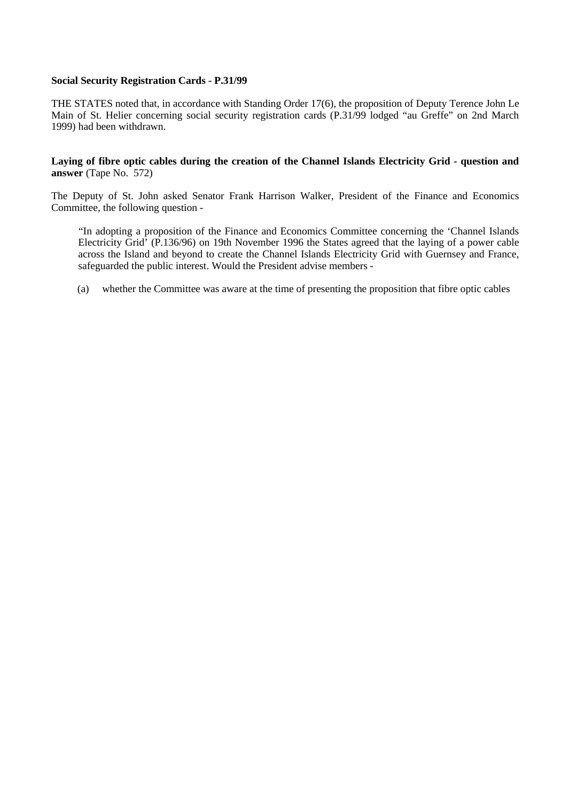## **Social Security Registration Cards - P.31/99**

THE STATES noted that, in accordance with Standing Order 17(6), the proposition of Deputy Terence John Le Main of St. Helier concerning social security registration cards (P.31/99 lodged "au Greffe" on 2nd March 1999) had been withdrawn.

## **Laying of fibre optic cables during the creation of the Channel Islands Electricity Grid - question and answer** (Tape No. 572)

The Deputy of St. John asked Senator Frank Harrison Walker, President of the Finance and Economics Committee, the following question -

 "In adopting a proposition of the Finance and Economics Committee concerning the 'Channel Islands Electricity Grid' (P.136/96) on 19th November 1996 the States agreed that the laying of a power cable across the Island and beyond to create the Channel Islands Electricity Grid with Guernsey and France, safeguarded the public interest. Would the President advise members -

(a) whether the Committee was aware at the time of presenting the proposition that fibre optic cables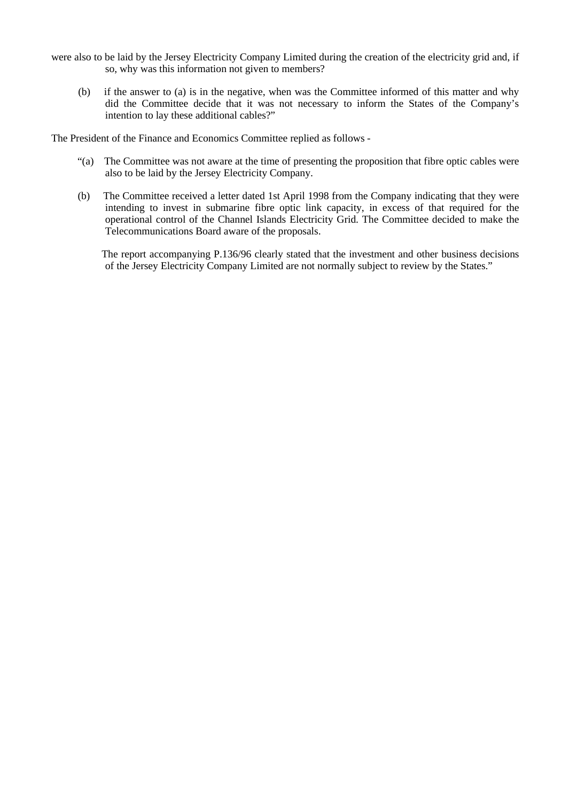- were also to be laid by the Jersey Electricity Company Limited during the creation of the electricity grid and, if so, why was this information not given to members?
	- (b) if the answer to (a) is in the negative, when was the Committee informed of this matter and why did the Committee decide that it was not necessary to inform the States of the Company's intention to lay these additional cables?"

The President of the Finance and Economics Committee replied as follows -

- "(a) The Committee was not aware at the time of presenting the proposition that fibre optic cables were also to be laid by the Jersey Electricity Company.
- (b) The Committee received a letter dated 1st April 1998 from the Company indicating that they were intending to invest in submarine fibre optic link capacity, in excess of that required for the operational control of the Channel Islands Electricity Grid. The Committee decided to make the Telecommunications Board aware of the proposals.

 The report accompanying P.136/96 clearly stated that the investment and other business decisions of the Jersey Electricity Company Limited are not normally subject to review by the States."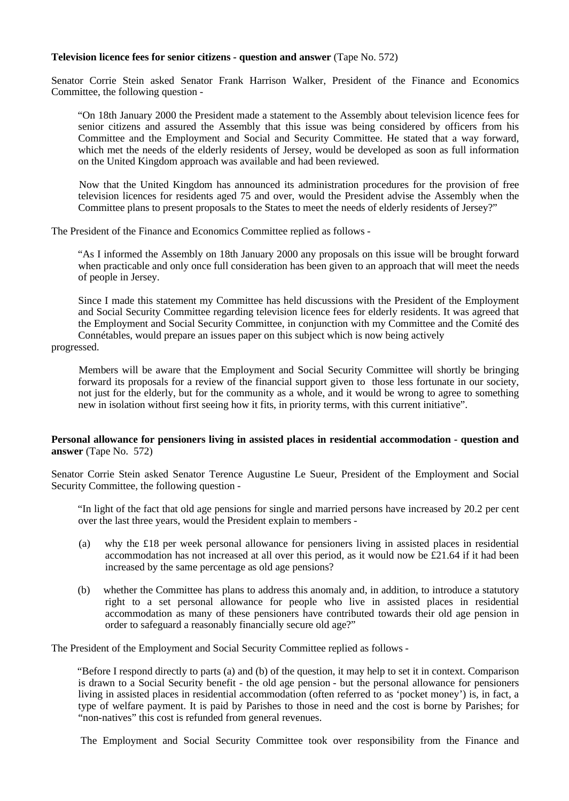## **Television licence fees for senior citizens - question and answer** (Tape No. 572)

Senator Corrie Stein asked Senator Frank Harrison Walker, President of the Finance and Economics Committee, the following question -

 "On 18th January 2000 the President made a statement to the Assembly about television licence fees for senior citizens and assured the Assembly that this issue was being considered by officers from his Committee and the Employment and Social and Security Committee. He stated that a way forward, which met the needs of the elderly residents of Jersey, would be developed as soon as full information on the United Kingdom approach was available and had been reviewed.

 Now that the United Kingdom has announced its administration procedures for the provision of free television licences for residents aged 75 and over, would the President advise the Assembly when the Committee plans to present proposals to the States to meet the needs of elderly residents of Jersey?"

The President of the Finance and Economics Committee replied as follows -

 "As I informed the Assembly on 18th January 2000 any proposals on this issue will be brought forward when practicable and only once full consideration has been given to an approach that will meet the needs of people in Jersey.

 Since I made this statement my Committee has held discussions with the President of the Employment and Social Security Committee regarding television licence fees for elderly residents. It was agreed that the Employment and Social Security Committee, in conjunction with my Committee and the Comité des Connétables, would prepare an issues paper on this subject which is now being actively

#### progressed.

 Members will be aware that the Employment and Social Security Committee will shortly be bringing forward its proposals for a review of the financial support given to those less fortunate in our society, not just for the elderly, but for the community as a whole, and it would be wrong to agree to something new in isolation without first seeing how it fits, in priority terms, with this current initiative".

## **Personal allowance for pensioners living in assisted places in residential accommodation - question and answer** (Tape No. 572)

Senator Corrie Stein asked Senator Terence Augustine Le Sueur, President of the Employment and Social Security Committee, the following question -

 "In light of the fact that old age pensions for single and married persons have increased by 20.2 per cent over the last three years, would the President explain to members -

- (a) why the £18 per week personal allowance for pensioners living in assisted places in residential accommodation has not increased at all over this period, as it would now be  $\text{\pounds}21.64$  if it had been increased by the same percentage as old age pensions?
- (b) whether the Committee has plans to address this anomaly and, in addition, to introduce a statutory right to a set personal allowance for people who live in assisted places in residential accommodation as many of these pensioners have contributed towards their old age pension in order to safeguard a reasonably financially secure old age?"

The President of the Employment and Social Security Committee replied as follows -

 "Before I respond directly to parts (a) and (b) of the question, it may help to set it in context. Comparison is drawn to a Social Security benefit - the old age pension - but the personal allowance for pensioners living in assisted places in residential accommodation (often referred to as 'pocket money') is, in fact, a type of welfare payment. It is paid by Parishes to those in need and the cost is borne by Parishes; for "non-natives" this cost is refunded from general revenues.

The Employment and Social Security Committee took over responsibility from the Finance and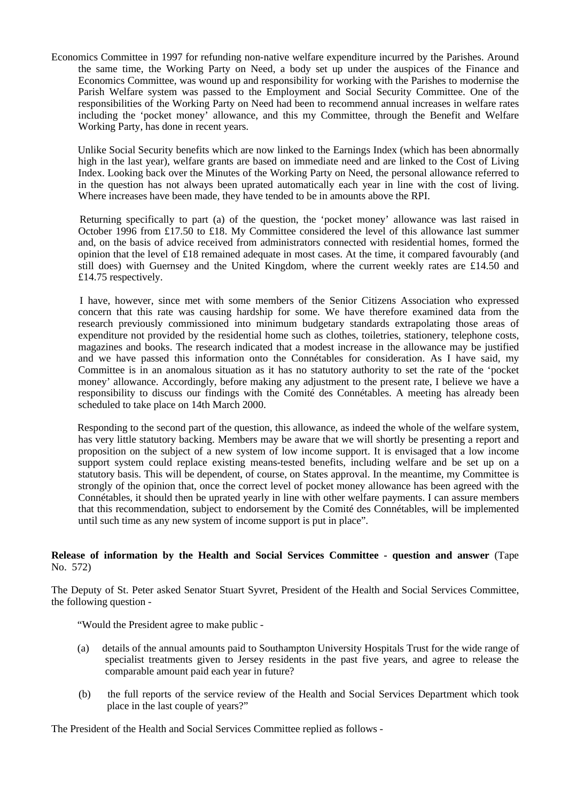Economics Committee in 1997 for refunding non-native welfare expenditure incurred by the Parishes. Around the same time, the Working Party on Need, a body set up under the auspices of the Finance and Economics Committee, was wound up and responsibility for working with the Parishes to modernise the Parish Welfare system was passed to the Employment and Social Security Committee. One of the responsibilities of the Working Party on Need had been to recommend annual increases in welfare rates including the 'pocket money' allowance, and this my Committee, through the Benefit and Welfare Working Party, has done in recent years.

 Unlike Social Security benefits which are now linked to the Earnings Index (which has been abnormally high in the last year), welfare grants are based on immediate need and are linked to the Cost of Living Index. Looking back over the Minutes of the Working Party on Need, the personal allowance referred to in the question has not always been uprated automatically each year in line with the cost of living. Where increases have been made, they have tended to be in amounts above the RPI.

 Returning specifically to part (a) of the question, the 'pocket money' allowance was last raised in October 1996 from £17.50 to £18. My Committee considered the level of this allowance last summer and, on the basis of advice received from administrators connected with residential homes, formed the opinion that the level of £18 remained adequate in most cases. At the time, it compared favourably (and still does) with Guernsey and the United Kingdom, where the current weekly rates are £14.50 and £14.75 respectively.

 I have, however, since met with some members of the Senior Citizens Association who expressed concern that this rate was causing hardship for some. We have therefore examined data from the research previously commissioned into minimum budgetary standards extrapolating those areas of expenditure not provided by the residential home such as clothes, toiletries, stationery, telephone costs, magazines and books. The research indicated that a modest increase in the allowance may be justified and we have passed this information onto the Connétables for consideration. As I have said, my Committee is in an anomalous situation as it has no statutory authority to set the rate of the 'pocket money' allowance. Accordingly, before making any adjustment to the present rate, I believe we have a responsibility to discuss our findings with the Comité des Connétables. A meeting has already been scheduled to take place on 14th March 2000.

 Responding to the second part of the question, this allowance, as indeed the whole of the welfare system, has very little statutory backing. Members may be aware that we will shortly be presenting a report and proposition on the subject of a new system of low income support. It is envisaged that a low income support system could replace existing means-tested benefits, including welfare and be set up on a statutory basis. This will be dependent, of course, on States approval. In the meantime, my Committee is strongly of the opinion that, once the correct level of pocket money allowance has been agreed with the Connétables, it should then be uprated yearly in line with other welfare payments. I can assure members that this recommendation, subject to endorsement by the Comité des Connétables, will be implemented until such time as any new system of income support is put in place".

# **Release of information by the Health and Social Services Committee - question and answer** (Tape No. 572)

The Deputy of St. Peter asked Senator Stuart Syvret, President of the Health and Social Services Committee, the following question -

"Would the President agree to make public -

- (a) details of the annual amounts paid to Southampton University Hospitals Trust for the wide range of specialist treatments given to Jersey residents in the past five years, and agree to release the comparable amount paid each year in future?
- (b) the full reports of the service review of the Health and Social Services Department which took place in the last couple of years?"

The President of the Health and Social Services Committee replied as follows -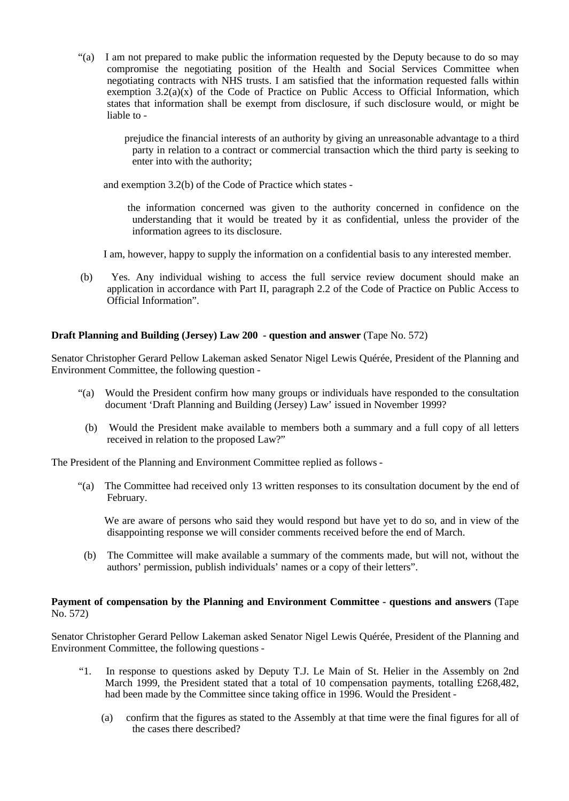- "(a)I am not prepared to make public the information requested by the Deputy because to do so may compromise the negotiating position of the Health and Social Services Committee when negotiating contracts with NHS trusts. I am satisfied that the information requested falls within exemption  $3.2(a)(x)$  of the Code of Practice on Public Access to Official Information, which states that information shall be exempt from disclosure, if such disclosure would, or might be liable to
	- prejudice the financial interests of an authority by giving an unreasonable advantage to a third party in relation to a contract or commercial transaction which the third party is seeking to enter into with the authority;

and exemption 3.2(b) of the Code of Practice which states -

 the information concerned was given to the authority concerned in confidence on the understanding that it would be treated by it as confidential, unless the provider of the information agrees to its disclosure.

I am, however, happy to supply the information on a confidential basis to any interested member.

 (b) Yes. Any individual wishing to access the full service review document should make an application in accordance with Part II, paragraph 2.2 of the Code of Practice on Public Access to Official Information".

# **Draft Planning and Building (Jersey) Law 200 - question and answer** (Tape No. 572)

Senator Christopher Gerard Pellow Lakeman asked Senator Nigel Lewis Quérée, President of the Planning and Environment Committee, the following question -

- "(a) Would the President confirm how many groups or individuals have responded to the consultation document 'Draft Planning and Building (Jersey) Law' issued in November 1999?
	- (b) Would the President make available to members both a summary and a full copy of all letters received in relation to the proposed Law?"

The President of the Planning and Environment Committee replied as follows -

 "(a) The Committee had received only 13 written responses to its consultation document by the end of February.

 We are aware of persons who said they would respond but have yet to do so, and in view of the disappointing response we will consider comments received before the end of March.

 (b) The Committee will make available a summary of the comments made, but will not, without the authors' permission, publish individuals' names or a copy of their letters".

# **Payment of compensation by the Planning and Environment Committee - questions and answers** (Tape No. 572)

Senator Christopher Gerard Pellow Lakeman asked Senator Nigel Lewis Quérée, President of the Planning and Environment Committee, the following questions -

- "1. In response to questions asked by Deputy T.J. Le Main of St. Helier in the Assembly on 2nd March 1999, the President stated that a total of 10 compensation payments, totalling £268,482, had been made by the Committee since taking office in 1996. Would the President -
	- (a) confirm that the figures as stated to the Assembly at that time were the final figures for all of the cases there described?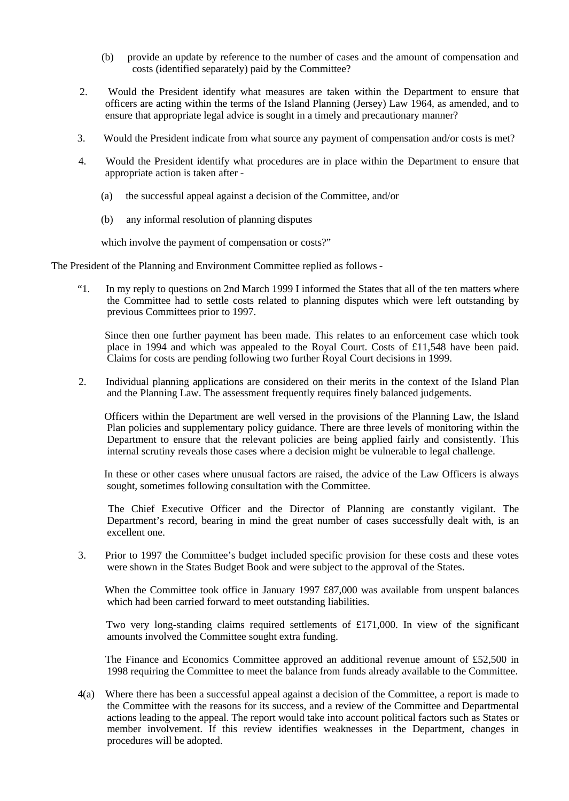- (b) provide an update by reference to the number of cases and the amount of compensation and costs (identified separately) paid by the Committee?
- 2. Would the President identify what measures are taken within the Department to ensure that officers are acting within the terms of the Island Planning (Jersey) Law 1964, as amended, and to ensure that appropriate legal advice is sought in a timely and precautionary manner?
- 3. Would the President indicate from what source any payment of compensation and/or costs is met?
- 4. Would the President identify what procedures are in place within the Department to ensure that appropriate action is taken after -
	- (a) the successful appeal against a decision of the Committee, and/or
	- (b) any informal resolution of planning disputes

which involve the payment of compensation or costs?"

The President of the Planning and Environment Committee replied as follows -

 "1. In my reply to questions on 2nd March 1999 I informed the States that all of the ten matters where the Committee had to settle costs related to planning disputes which were left outstanding by previous Committees prior to 1997.

 Since then one further payment has been made. This relates to an enforcement case which took place in 1994 and which was appealed to the Royal Court. Costs of £11,548 have been paid. Claims for costs are pending following two further Royal Court decisions in 1999.

 2. Individual planning applications are considered on their merits in the context of the Island Plan and the Planning Law. The assessment frequently requires finely balanced judgements.

 Officers within the Department are well versed in the provisions of the Planning Law, the Island Plan policies and supplementary policy guidance. There are three levels of monitoring within the Department to ensure that the relevant policies are being applied fairly and consistently. This internal scrutiny reveals those cases where a decision might be vulnerable to legal challenge.

 In these or other cases where unusual factors are raised, the advice of the Law Officers is always sought, sometimes following consultation with the Committee.

 The Chief Executive Officer and the Director of Planning are constantly vigilant. The Department's record, bearing in mind the great number of cases successfully dealt with, is an excellent one.

 3. Prior to 1997 the Committee's budget included specific provision for these costs and these votes were shown in the States Budget Book and were subject to the approval of the States.

When the Committee took office in January 1997 £87,000 was available from unspent balances which had been carried forward to meet outstanding liabilities.

Two very long-standing claims required settlements of £171,000. In view of the significant amounts involved the Committee sought extra funding.

 The Finance and Economics Committee approved an additional revenue amount of £52,500 in 1998 requiring the Committee to meet the balance from funds already available to the Committee.

 4(a) Where there has been a successful appeal against a decision of the Committee, a report is made to the Committee with the reasons for its success, and a review of the Committee and Departmental actions leading to the appeal. The report would take into account political factors such as States or member involvement. If this review identifies weaknesses in the Department, changes in procedures will be adopted.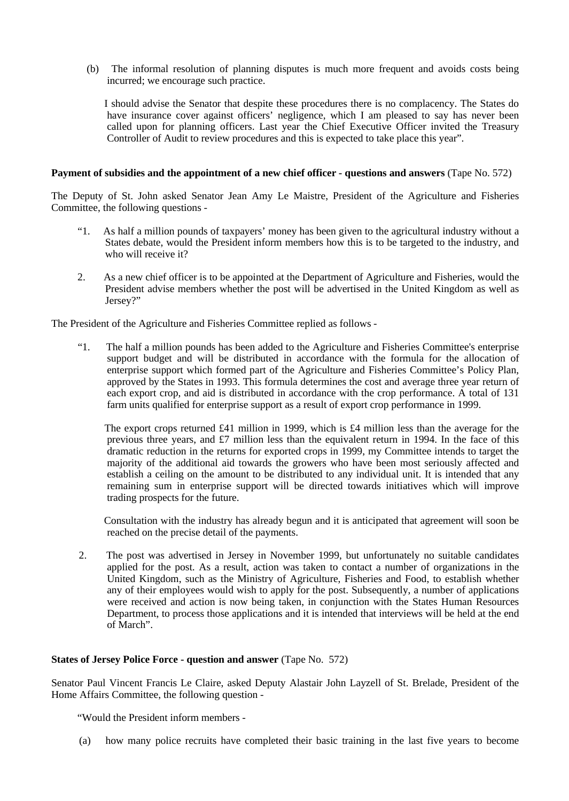(b) The informal resolution of planning disputes is much more frequent and avoids costs being incurred; we encourage such practice.

 I should advise the Senator that despite these procedures there is no complacency. The States do have insurance cover against officers' negligence, which I am pleased to say has never been called upon for planning officers. Last year the Chief Executive Officer invited the Treasury Controller of Audit to review procedures and this is expected to take place this year".

## **Payment of subsidies and the appointment of a new chief officer - questions and answers** (Tape No. 572)

The Deputy of St. John asked Senator Jean Amy Le Maistre, President of the Agriculture and Fisheries Committee, the following questions -

- "1. As half a million pounds of taxpayers' money has been given to the agricultural industry without a States debate, would the President inform members how this is to be targeted to the industry, and who will receive it?
- 2. As a new chief officer is to be appointed at the Department of Agriculture and Fisheries, would the President advise members whether the post will be advertised in the United Kingdom as well as Jersey?"

The President of the Agriculture and Fisheries Committee replied as follows -

 "1. The half a million pounds has been added to the Agriculture and Fisheries Committee's enterprise support budget and will be distributed in accordance with the formula for the allocation of enterprise support which formed part of the Agriculture and Fisheries Committee's Policy Plan, approved by the States in 1993. This formula determines the cost and average three year return of each export crop, and aid is distributed in accordance with the crop performance. A total of 131 farm units qualified for enterprise support as a result of export crop performance in 1999.

 The export crops returned £41 million in 1999, which is £4 million less than the average for the previous three years, and £7 million less than the equivalent return in 1994. In the face of this dramatic reduction in the returns for exported crops in 1999, my Committee intends to target the majority of the additional aid towards the growers who have been most seriously affected and establish a ceiling on the amount to be distributed to any individual unit. It is intended that any remaining sum in enterprise support will be directed towards initiatives which will improve trading prospects for the future.

 Consultation with the industry has already begun and it is anticipated that agreement will soon be reached on the precise detail of the payments.

 2. The post was advertised in Jersey in November 1999, but unfortunately no suitable candidates applied for the post. As a result, action was taken to contact a number of organizations in the United Kingdom, such as the Ministry of Agriculture, Fisheries and Food, to establish whether any of their employees would wish to apply for the post. Subsequently, a number of applications were received and action is now being taken, in conjunction with the States Human Resources Department, to process those applications and it is intended that interviews will be held at the end of March".

### **States of Jersey Police Force - question and answer** (Tape No. 572)

Senator Paul Vincent Francis Le Claire, asked Deputy Alastair John Layzell of St. Brelade, President of the Home Affairs Committee, the following question -

"Would the President inform members -

(a) how many police recruits have completed their basic training in the last five years to become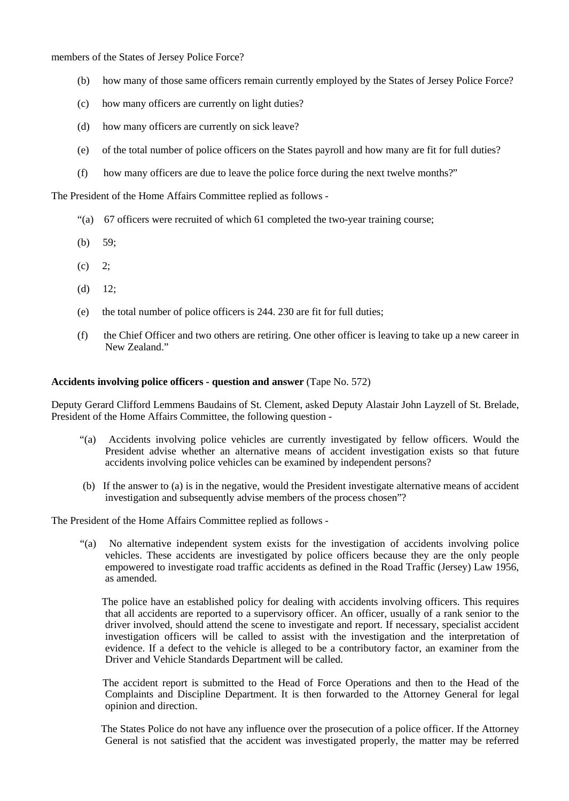members of the States of Jersey Police Force?

- (b) how many of those same officers remain currently employed by the States of Jersey Police Force?
- (c) how many officers are currently on light duties?
- (d) how many officers are currently on sick leave?
- (e) of the total number of police officers on the States payroll and how many are fit for full duties?
- (f) how many officers are due to leave the police force during the next twelve months?"

The President of the Home Affairs Committee replied as follows -

- "(a) 67 officers were recruited of which 61 completed the two-year training course;
- (b) 59;
- (c) 2;
- $(d)$  12;
- (e) the total number of police officers is 244. 230 are fit for full duties;
- (f) the Chief Officer and two others are retiring. One other officer is leaving to take up a new career in New Zealand."

# **Accidents involving police officers - question and answer** (Tape No. 572)

Deputy Gerard Clifford Lemmens Baudains of St. Clement, asked Deputy Alastair John Layzell of St. Brelade, President of the Home Affairs Committee, the following question -

- "(a) Accidents involving police vehicles are currently investigated by fellow officers. Would the President advise whether an alternative means of accident investigation exists so that future accidents involving police vehicles can be examined by independent persons?
- (b) If the answer to (a) is in the negative, would the President investigate alternative means of accident investigation and subsequently advise members of the process chosen"?

The President of the Home Affairs Committee replied as follows -

 "(a) No alternative independent system exists for the investigation of accidents involving police vehicles. These accidents are investigated by police officers because they are the only people empowered to investigate road traffic accidents as defined in the Road Traffic (Jersey) Law 1956, as amended.

 The police have an established policy for dealing with accidents involving officers. This requires that all accidents are reported to a supervisory officer. An officer, usually of a rank senior to the driver involved, should attend the scene to investigate and report. If necessary, specialist accident investigation officers will be called to assist with the investigation and the interpretation of evidence. If a defect to the vehicle is alleged to be a contributory factor, an examiner from the Driver and Vehicle Standards Department will be called.

 The accident report is submitted to the Head of Force Operations and then to the Head of the Complaints and Discipline Department. It is then forwarded to the Attorney General for legal opinion and direction.

 The States Police do not have any influence over the prosecution of a police officer. If the Attorney General is not satisfied that the accident was investigated properly, the matter may be referred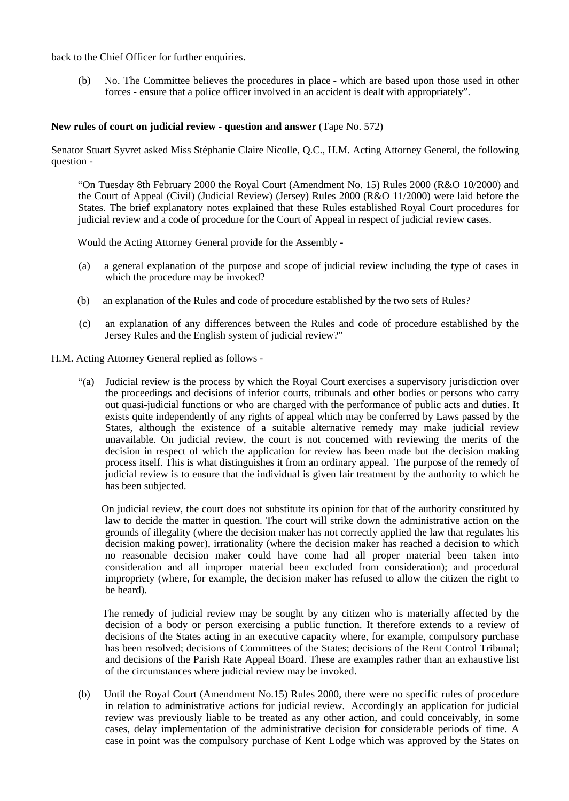back to the Chief Officer for further enquiries.

 (b) No. The Committee believes the procedures in place - which are based upon those used in other forces - ensure that a police officer involved in an accident is dealt with appropriately".

### **New rules of court on judicial review - question and answer** (Tape No. 572)

Senator Stuart Syvret asked Miss Stéphanie Claire Nicolle, Q.C., H.M. Acting Attorney General, the following question -

 "On Tuesday 8th February 2000 the Royal Court (Amendment No. 15) Rules 2000 (R&O 10/2000) and the Court of Appeal (Civil) (Judicial Review) (Jersey) Rules 2000 (R&O 11/2000) were laid before the States. The brief explanatory notes explained that these Rules established Royal Court procedures for judicial review and a code of procedure for the Court of Appeal in respect of judicial review cases.

Would the Acting Attorney General provide for the Assembly -

- (a) a general explanation of the purpose and scope of judicial review including the type of cases in which the procedure may be invoked?
- (b) an explanation of the Rules and code of procedure established by the two sets of Rules?
- (c) an explanation of any differences between the Rules and code of procedure established by the Jersey Rules and the English system of judicial review?"
- H.M. Acting Attorney General replied as follows
	- "(a) Judicial review is the process by which the Royal Court exercises a supervisory jurisdiction over the proceedings and decisions of inferior courts, tribunals and other bodies or persons who carry out quasi-judicial functions or who are charged with the performance of public acts and duties. It exists quite independently of any rights of appeal which may be conferred by Laws passed by the States, although the existence of a suitable alternative remedy may make judicial review unavailable. On judicial review, the court is not concerned with reviewing the merits of the decision in respect of which the application for review has been made but the decision making process itself. This is what distinguishes it from an ordinary appeal. The purpose of the remedy of judicial review is to ensure that the individual is given fair treatment by the authority to which he has been subjected.

 On judicial review, the court does not substitute its opinion for that of the authority constituted by law to decide the matter in question. The court will strike down the administrative action on the grounds of illegality (where the decision maker has not correctly applied the law that regulates his decision making power), irrationality (where the decision maker has reached a decision to which no reasonable decision maker could have come had all proper material been taken into consideration and all improper material been excluded from consideration); and procedural impropriety (where, for example, the decision maker has refused to allow the citizen the right to be heard).

 The remedy of judicial review may be sought by any citizen who is materially affected by the decision of a body or person exercising a public function. It therefore extends to a review of decisions of the States acting in an executive capacity where, for example, compulsory purchase has been resolved; decisions of Committees of the States; decisions of the Rent Control Tribunal; and decisions of the Parish Rate Appeal Board. These are examples rather than an exhaustive list of the circumstances where judicial review may be invoked.

 (b) Until the Royal Court (Amendment No.15) Rules 2000, there were no specific rules of procedure in relation to administrative actions for judicial review. Accordingly an application for judicial review was previously liable to be treated as any other action, and could conceivably, in some cases, delay implementation of the administrative decision for considerable periods of time. A case in point was the compulsory purchase of Kent Lodge which was approved by the States on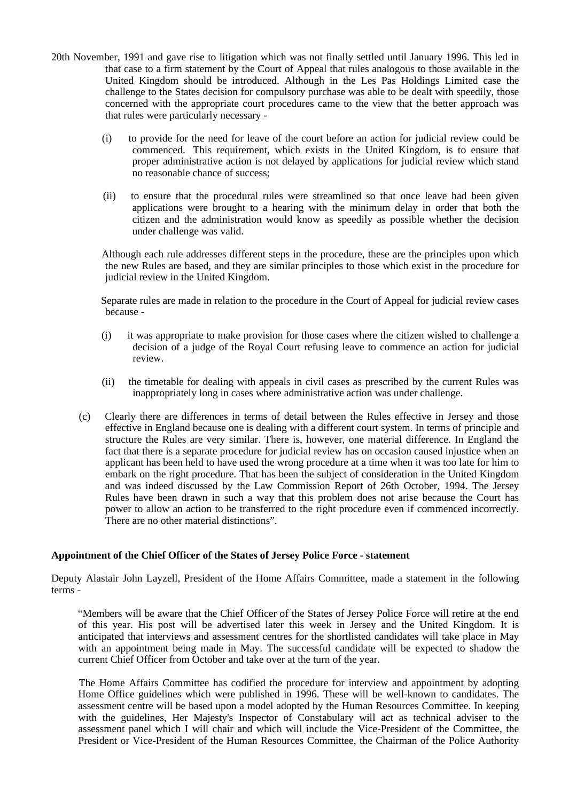- 20th November, 1991 and gave rise to litigation which was not finally settled until January 1996. This led in that case to a firm statement by the Court of Appeal that rules analogous to those available in the United Kingdom should be introduced. Although in the Les Pas Holdings Limited case the challenge to the States decision for compulsory purchase was able to be dealt with speedily, those concerned with the appropriate court procedures came to the view that the better approach was that rules were particularly necessary -
	- (i) to provide for the need for leave of the court before an action for judicial review could be commenced. This requirement, which exists in the United Kingdom, is to ensure that proper administrative action is not delayed by applications for judicial review which stand no reasonable chance of success;
	- (ii) to ensure that the procedural rules were streamlined so that once leave had been given applications were brought to a hearing with the minimum delay in order that both the citizen and the administration would know as speedily as possible whether the decision under challenge was valid.

 Although each rule addresses different steps in the procedure, these are the principles upon which the new Rules are based, and they are similar principles to those which exist in the procedure for judicial review in the United Kingdom.

 Separate rules are made in relation to the procedure in the Court of Appeal for judicial review cases because -

- (i) it was appropriate to make provision for those cases where the citizen wished to challenge a decision of a judge of the Royal Court refusing leave to commence an action for judicial review.
- (ii) the timetable for dealing with appeals in civil cases as prescribed by the current Rules was inappropriately long in cases where administrative action was under challenge.
- (c) Clearly there are differences in terms of detail between the Rules effective in Jersey and those effective in England because one is dealing with a different court system. In terms of principle and structure the Rules are very similar. There is, however, one material difference. In England the fact that there is a separate procedure for judicial review has on occasion caused injustice when an applicant has been held to have used the wrong procedure at a time when it was too late for him to embark on the right procedure. That has been the subject of consideration in the United Kingdom and was indeed discussed by the Law Commission Report of 26th October, 1994. The Jersey Rules have been drawn in such a way that this problem does not arise because the Court has power to allow an action to be transferred to the right procedure even if commenced incorrectly. There are no other material distinctions".

# **Appointment of the Chief Officer of the States of Jersey Police Force - statement**

Deputy Alastair John Layzell, President of the Home Affairs Committee, made a statement in the following terms -

 "Members will be aware that the Chief Officer of the States of Jersey Police Force will retire at the end of this year. His post will be advertised later this week in Jersey and the United Kingdom. It is anticipated that interviews and assessment centres for the shortlisted candidates will take place in May with an appointment being made in May. The successful candidate will be expected to shadow the current Chief Officer from October and take over at the turn of the year.

 The Home Affairs Committee has codified the procedure for interview and appointment by adopting Home Office guidelines which were published in 1996. These will be well-known to candidates. The assessment centre will be based upon a model adopted by the Human Resources Committee. In keeping with the guidelines, Her Majesty's Inspector of Constabulary will act as technical adviser to the assessment panel which I will chair and which will include the Vice-President of the Committee, the President or Vice-President of the Human Resources Committee, the Chairman of the Police Authority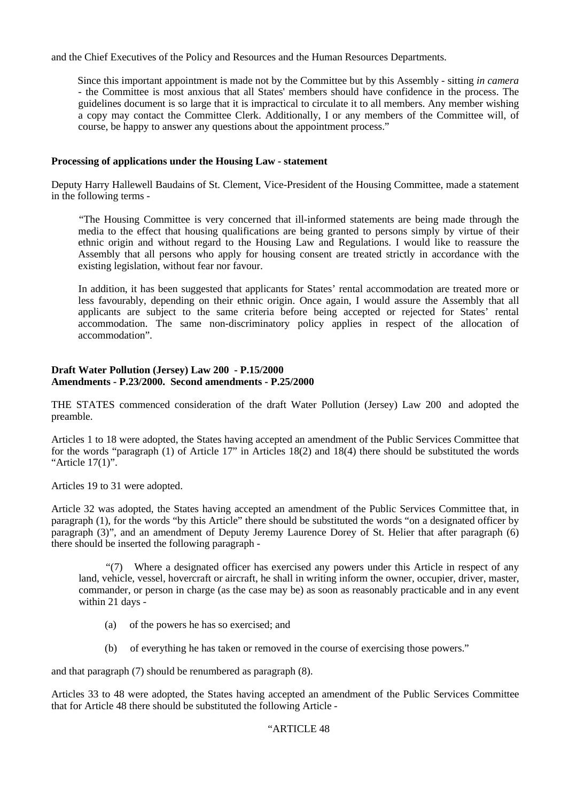and the Chief Executives of the Policy and Resources and the Human Resources Departments.

 Since this important appointment is made not by the Committee but by this Assembly - sitting *in camera* - the Committee is most anxious that all States' members should have confidence in the process. The guidelines document is so large that it is impractical to circulate it to all members. Any member wishing a copy may contact the Committee Clerk. Additionally, I or any members of the Committee will, of course, be happy to answer any questions about the appointment process."

# **Processing of applications under the Housing Law - statement**

Deputy Harry Hallewell Baudains of St. Clement, Vice-President of the Housing Committee, made a statement in the following terms -

 "The Housing Committee is very concerned that ill-informed statements are being made through the media to the effect that housing qualifications are being granted to persons simply by virtue of their ethnic origin and without regard to the Housing Law and Regulations. I would like to reassure the Assembly that all persons who apply for housing consent are treated strictly in accordance with the existing legislation, without fear nor favour.

 In addition, it has been suggested that applicants for States' rental accommodation are treated more or less favourably, depending on their ethnic origin. Once again, I would assure the Assembly that all applicants are subject to the same criteria before being accepted or rejected for States' rental accommodation. The same non-discriminatory policy applies in respect of the allocation of accommodation".

# **Draft Water Pollution (Jersey) Law 200 - P.15/2000 Amendments - P.23/2000. Second amendments - P.25/2000**

THE STATES commenced consideration of the draft Water Pollution (Jersey) Law 200 and adopted the preamble.

Articles 1 to 18 were adopted, the States having accepted an amendment of the Public Services Committee that for the words "paragraph (1) of Article 17" in Articles 18(2) and 18(4) there should be substituted the words "Article 17(1)".

Articles 19 to 31 were adopted.

Article 32 was adopted, the States having accepted an amendment of the Public Services Committee that, in paragraph (1), for the words "by this Article" there should be substituted the words "on a designated officer by paragraph (3)", and an amendment of Deputy Jeremy Laurence Dorey of St. Helier that after paragraph (6) there should be inserted the following paragraph -

 "(7) Where a designated officer has exercised any powers under this Article in respect of any land, vehicle, vessel, hovercraft or aircraft, he shall in writing inform the owner, occupier, driver, master, commander, or person in charge (as the case may be) as soon as reasonably practicable and in any event within 21 days -

- (a) of the powers he has so exercised; and
- (b) of everything he has taken or removed in the course of exercising those powers."

and that paragraph (7) should be renumbered as paragraph (8).

Articles 33 to 48 were adopted, the States having accepted an amendment of the Public Services Committee that for Article 48 there should be substituted the following Article -

# "ARTICLE 48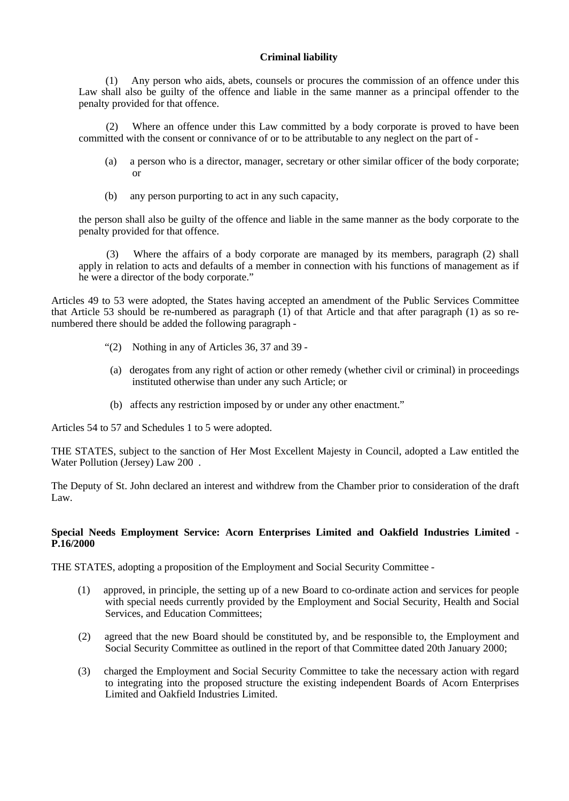# **Criminal liability**

 (1) Any person who aids, abets, counsels or procures the commission of an offence under this Law shall also be guilty of the offence and liable in the same manner as a principal offender to the penalty provided for that offence.

 (2) Where an offence under this Law committed by a body corporate is proved to have been committed with the consent or connivance of or to be attributable to any neglect on the part of -

- (a) a person who is a director, manager, secretary or other similar officer of the body corporate; or
- (b) any person purporting to act in any such capacity,

the person shall also be guilty of the offence and liable in the same manner as the body corporate to the penalty provided for that offence.

 (3) Where the affairs of a body corporate are managed by its members, paragraph (2) shall apply in relation to acts and defaults of a member in connection with his functions of management as if he were a director of the body corporate."

Articles 49 to 53 were adopted, the States having accepted an amendment of the Public Services Committee that Article 53 should be re-numbered as paragraph (1) of that Article and that after paragraph (1) as so renumbered there should be added the following paragraph -

- "(2) Nothing in any of Articles 36, 37 and 39 -
- (a) derogates from any right of action or other remedy (whether civil or criminal) in proceedings instituted otherwise than under any such Article; or
- (b) affects any restriction imposed by or under any other enactment."

Articles 54 to 57 and Schedules 1 to 5 were adopted.

THE STATES, subject to the sanction of Her Most Excellent Majesty in Council, adopted a Law entitled the Water Pollution (Jersey) Law 200 .

The Deputy of St. John declared an interest and withdrew from the Chamber prior to consideration of the draft Law.

## **Special Needs Employment Service: Acorn Enterprises Limited and Oakfield Industries Limited - P.16/2000**

THE STATES, adopting a proposition of the Employment and Social Security Committee -

- (1) approved, in principle, the setting up of a new Board to co-ordinate action and services for people with special needs currently provided by the Employment and Social Security, Health and Social Services, and Education Committees;
- (2) agreed that the new Board should be constituted by, and be responsible to, the Employment and Social Security Committee as outlined in the report of that Committee dated 20th January 2000;
- (3) charged the Employment and Social Security Committee to take the necessary action with regard to integrating into the proposed structure the existing independent Boards of Acorn Enterprises Limited and Oakfield Industries Limited.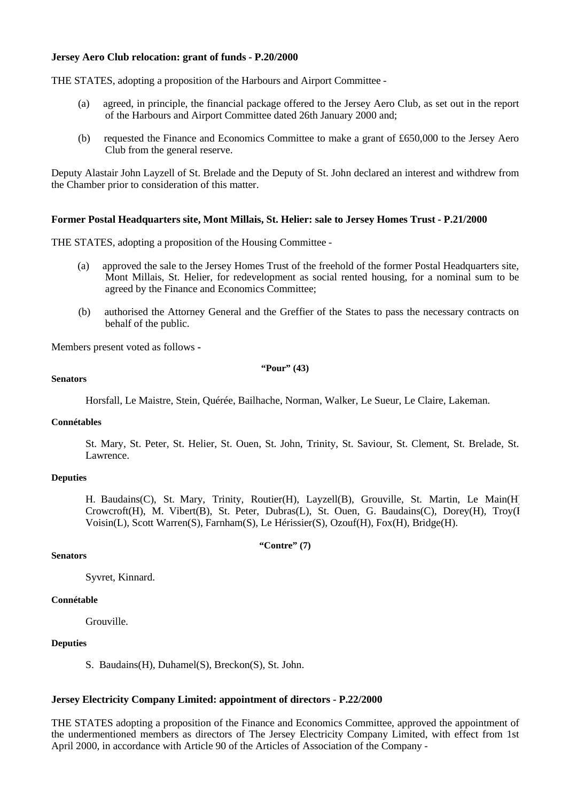## **Jersey Aero Club relocation: grant of funds - P.20/2000**

THE STATES, adopting a proposition of the Harbours and Airport Committee -

- (a) agreed, in principle, the financial package offered to the Jersey Aero Club, as set out in the report of the Harbours and Airport Committee dated 26th January 2000 and;
- (b) requested the Finance and Economics Committee to make a grant of £650,000 to the Jersey Aero Club from the general reserve.

Deputy Alastair John Layzell of St. Brelade and the Deputy of St. John declared an interest and withdrew from the Chamber prior to consideration of this matter.

## **Former Postal Headquarters site, Mont Millais, St. Helier: sale to Jersey Homes Trust - P.21/2000**

THE STATES, adopting a proposition of the Housing Committee -

- (a) approved the sale to the Jersey Homes Trust of the freehold of the former Postal Headquarters site, Mont Millais, St. Helier, for redevelopment as social rented housing, for a nominal sum to be agreed by the Finance and Economics Committee;
- (b) authorised the Attorney General and the Greffier of the States to pass the necessary contracts on behalf of the public.

Members present voted as follows **-**

#### **"Pour" (43)**

#### **Senators**

Horsfall, Le Maistre, Stein, Quérée, Bailhache, Norman, Walker, Le Sueur, Le Claire, Lakeman.

#### **Connétables**

St. Mary, St. Peter, St. Helier, St. Ouen, St. John, Trinity, St. Saviour, St. Clement, St. Brelade, St. Lawrence.

#### **Deputies**

H. Baudains(C), St. Mary, Trinity, Routier(H), Layzell(B), Grouville, St. Martin, Le Main(H), Crowcroft(H), M. Vibert(B), St. Peter, Dubras(L), St. Ouen, G. Baudains(C), Dorey(H), Troy(I Voisin(L), Scott Warren(S), Farnham(S), Le Hérissier(S), Ozouf(H), Fox(H), Bridge(H).

#### **"Contre" (7)**

## **Senators**

Syvret, Kinnard.

### **Connétable**

Grouville.

#### **Deputies**

S. Baudains(H), Duhamel(S), Breckon(S), St. John.

#### **Jersey Electricity Company Limited: appointment of directors - P.22/2000**

THE STATES adopting a proposition of the Finance and Economics Committee, approved the appointment of the undermentioned members as directors of The Jersey Electricity Company Limited, with effect from 1st April 2000, in accordance with Article 90 of the Articles of Association of the Company -